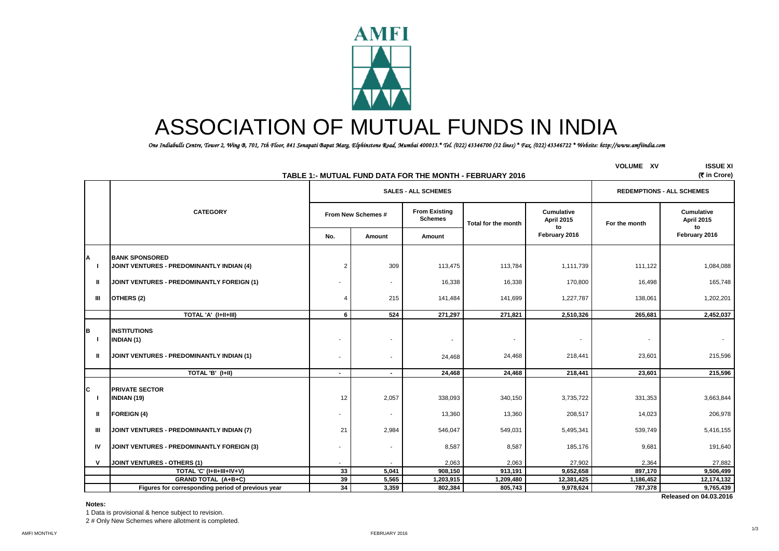

# ASSOCIATION OF MUTUAL FUNDS IN INDIA

 *One Indiabulls Centre, Tower 2, Wing B, 701, 7th Floor, 841 Senapati Bapat Marg, Elphinstone Road, Mumbai 400013.\* Tel. (022) 43346700 (32 lines) \* Fax. (022) 43346722 \* Website: http://www.amfiindia.com*

|                   |                                                                                |                    |                            |                                        | TABLE 1:- MUTUAL FUND DATA FOR THE MONTH - FEBRUARY 2016 |                                 | <b>VOLUME XV</b> | <b>ISSUE XI</b><br>(₹ in Crore)       |
|-------------------|--------------------------------------------------------------------------------|--------------------|----------------------------|----------------------------------------|----------------------------------------------------------|---------------------------------|------------------|---------------------------------------|
|                   |                                                                                |                    | <b>SALES - ALL SCHEMES</b> | <b>REDEMPTIONS - ALL SCHEMES</b>       |                                                          |                                 |                  |                                       |
|                   | <b>CATEGORY</b>                                                                | From New Schemes # |                            | <b>From Existing</b><br><b>Schemes</b> | Total for the month                                      | <b>Cumulative</b><br>April 2015 | For the month    | <b>Cumulative</b><br>April 2015<br>to |
|                   |                                                                                | No.                | Amount                     | Amount                                 |                                                          | to<br>February 2016             |                  | February 2016                         |
| Α<br>-1           | <b>BANK SPONSORED</b><br>JOINT VENTURES - PREDOMINANTLY INDIAN (4)             | 2                  | 309                        | 113,475                                | 113,784                                                  | 1,111,739                       | 111,122          | 1,084,088                             |
| ш                 | JOINT VENTURES - PREDOMINANTLY FOREIGN (1)                                     |                    | $\overline{\phantom{a}}$   | 16,338                                 | 16,338                                                   | 170,800                         | 16,498           | 165,748                               |
| Ш                 | OTHERS (2)                                                                     | 4                  | 215                        | 141,484                                | 141,699                                                  | 1,227,787                       | 138,061          | 1,202,201                             |
|                   | TOTAL 'A' (I+II+III)                                                           | 6                  | 524                        | 271,297                                | 271,821                                                  | 2,510,326                       | 265,681          | 2,452,037                             |
| В<br>-1<br>Ш      | INSTITUTIONS<br><b>INDIAN (1)</b><br>JOINT VENTURES - PREDOMINANTLY INDIAN (1) | $\blacksquare$     | $\overline{\phantom{a}}$   | $\overline{\phantom{a}}$<br>24,468     | 24,468                                                   | 218,441                         | 23,601           | 215,596                               |
|                   | TOTAL 'B' (I+II)                                                               | $\blacksquare$     | $\sim$                     | 24,468                                 | 24,468                                                   | 218,441                         | 23.601           | 215,596                               |
| C<br>$\mathbf{I}$ | <b>PRIVATE SECTOR</b><br><b>INDIAN (19)</b>                                    | 12                 | 2,057                      | 338,093                                | 340,150                                                  | 3,735,722                       | 331,353          | 3,663,844                             |
| ш                 | <b>FOREIGN (4)</b>                                                             |                    | $\overline{\phantom{a}}$   | 13,360                                 | 13,360                                                   | 208,517                         | 14,023           | 206,978                               |
| Ш                 | JOINT VENTURES - PREDOMINANTLY INDIAN (7)                                      | 21                 | 2,984                      | 546,047                                | 549,031                                                  | 5,495,341                       | 539,749          | 5,416,155                             |
| IV                | JOINT VENTURES - PREDOMINANTLY FOREIGN (3)                                     |                    | $\blacksquare$             | 8,587                                  | 8,587                                                    | 185,176                         | 9,681            | 191,640                               |
| $\mathsf{v}$      | JOINT VENTURES - OTHERS (1)                                                    |                    |                            | 2,063                                  | 2,063                                                    | 27,902                          | 2,364            | 27,882                                |
|                   | TOTAL 'C' (I+II+III+IV+V)                                                      | 33                 | 5,041                      | 908,150                                | 913,191                                                  | 9,652,658                       | 897,170          | 9,506,499                             |
|                   | <b>GRAND TOTAL (A+B+C)</b>                                                     | 39                 | 5,565                      | 1,203,915                              | 1,209,480                                                | 12,381,425                      | 1,186,452        | 12,174,132                            |
|                   | Figures for corresponding period of previous year                              | 34                 | 3,359                      | 802,384                                | 805,743                                                  | 9,978,624                       | 787,378          | 9,765,439                             |
|                   |                                                                                |                    |                            |                                        |                                                          |                                 |                  | Released on 04.03.2016                |

**Notes:**

1 Data is provisional & hence subject to revision. 2 # Only New Schemes where allotment is completed.

1/3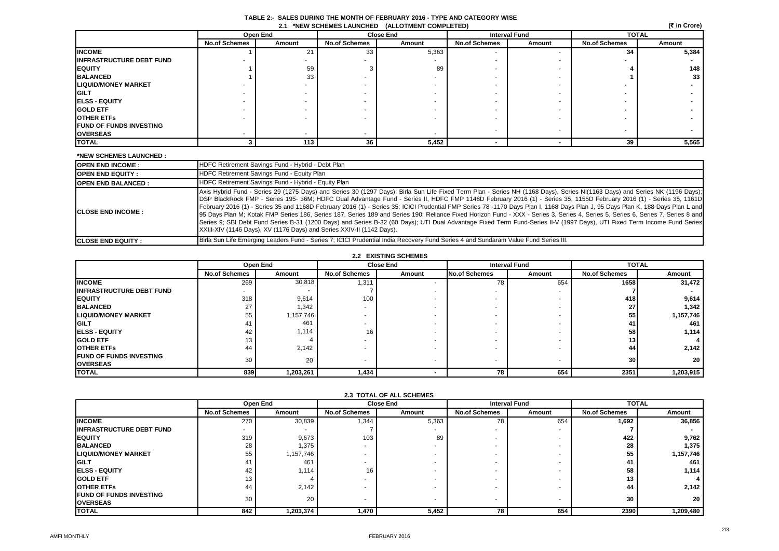|  |  | (₹ in Crore) |
|--|--|--------------|
|--|--|--------------|

|                                 |                      | Open End<br><b>Close End</b> |                      |        | <b>Interval Fund</b> |        | <b>TOTAL</b>         |                 |
|---------------------------------|----------------------|------------------------------|----------------------|--------|----------------------|--------|----------------------|-----------------|
|                                 | <b>No.of Schemes</b> | Amount                       | <b>No.of Schemes</b> | Amount | <b>No.of Schemes</b> | Amount | <b>No.of Schemes</b> | Amount          |
| <b>INCOME</b>                   |                      | 21                           | 33                   | 5,363  |                      |        | 34                   | 5,384           |
| <b>INFRASTRUCTURE DEBT FUND</b> |                      |                              |                      |        |                      |        |                      |                 |
| <b>EQUITY</b>                   |                      | 59                           |                      | 89     |                      |        |                      | 148             |
| <b>BALANCED</b>                 |                      | 33                           |                      |        |                      |        |                      | 33 <sup>1</sup> |
| <b>LIQUID/MONEY MARKET</b>      |                      |                              |                      |        |                      |        |                      |                 |
| <b>GILT</b>                     |                      |                              |                      |        |                      |        |                      |                 |
| <b>IELSS - EQUITY</b>           |                      |                              |                      |        |                      |        |                      |                 |
| <b>GOLD ETF</b>                 |                      |                              |                      |        |                      |        |                      |                 |
| <b>OTHER ETFS</b>               |                      |                              |                      |        |                      |        |                      |                 |
| <b>FUND OF FUNDS INVESTING</b>  |                      |                              |                      |        |                      |        |                      |                 |
| <b>OVERSEAS</b>                 |                      |                              |                      |        |                      |        |                      |                 |
| <b>TOTAL</b>                    |                      | 113                          | 36 <sup>1</sup>      | 5,452  |                      |        | 39                   | 5,565           |

#### **\*NEW SCHEMES LAUNCHED :**

| <b>IOPEN END INCOME:</b>   | HDFC Retirement Savings Fund - Hybrid - Debt Plan                                                                                                                                                                                                                                                                                                                                                                                                                                                                                                                                                                                                                                                                                                                                                                                                                                                                                                                            |
|----------------------------|------------------------------------------------------------------------------------------------------------------------------------------------------------------------------------------------------------------------------------------------------------------------------------------------------------------------------------------------------------------------------------------------------------------------------------------------------------------------------------------------------------------------------------------------------------------------------------------------------------------------------------------------------------------------------------------------------------------------------------------------------------------------------------------------------------------------------------------------------------------------------------------------------------------------------------------------------------------------------|
| <b>IOPEN END EQUITY:</b>   | HDFC Retirement Savings Fund - Equity Plan                                                                                                                                                                                                                                                                                                                                                                                                                                                                                                                                                                                                                                                                                                                                                                                                                                                                                                                                   |
| <b>OPEN END BALANCED:</b>  | HDFC Retirement Savings Fund - Hybrid - Equity Plan                                                                                                                                                                                                                                                                                                                                                                                                                                                                                                                                                                                                                                                                                                                                                                                                                                                                                                                          |
| <b>ICLOSE END INCOME:</b>  | Axis Hybrid Fund - Series 29 (1275 Days) and Series 30 (1297 Days); Birla Sun Life Fixed Term Plan - Series NH (1168 Days), Series NI(1163 Days) and Series NK (1196 Days);<br>DSP BlackRock FMP - Series 195- 36M; HDFC Dual Advantage Fund - Series II, HDFC FMP 1148D February 2016 (1) - Series 35, 1155D February 2016 (1) - Series 35, 1161D<br>February 2016 (1) - Series 35 and 1168D February 2016 (1) - Series 35; ICICI Prudential FMP Series 78 -1170 Days Plan I, 1168 Days Plan J, 95 Days Plan K, 188 Days Plan L and<br>95 Days Plan M; Kotak FMP Series 186, Series 187, Series 189 and Series 190; Reliance Fixed Horizon Fund - XXX - Series 3, Series 4, Series 5, Series 6, Series 7, Series 8 and<br>Series 9; SBI Debt Fund Series B-31 (1200 Days) and Series B-32 (60 Days); UTI Dual Advantage Fixed Term Fund-Series II-V (1997 Days), UTI Fixed Term Income Fund Series<br>XXIII-XIV (1146 Days), XV (1176 Days) and Series XXIV-II (1142 Days). |
| <b>ICLOSE END EQUITY :</b> | Birla Sun Life Emerging Leaders Fund - Series 7; ICICI Prudential India Recovery Fund Series 4 and Sundaram Value Fund Series III.                                                                                                                                                                                                                                                                                                                                                                                                                                                                                                                                                                                                                                                                                                                                                                                                                                           |

### **2.2 EXISTING SCHEMES**

|                                 |                      | Open End  |                      | <b>Close End</b> |                          | <b>Interval Fund</b> |                      | <b>TOTAL</b>    |  |
|---------------------------------|----------------------|-----------|----------------------|------------------|--------------------------|----------------------|----------------------|-----------------|--|
|                                 | <b>No.of Schemes</b> | Amount    | <b>No.of Schemes</b> | Amount           | <b>No.of Schemes</b>     | Amount               | <b>No.of Schemes</b> | Amount          |  |
| <b>INCOME</b>                   | 269                  | 30,818    | 1,311                |                  | 78                       | 654                  | 1658                 | 31,472          |  |
| <b>INFRASTRUCTURE DEBT FUND</b> |                      |           |                      |                  |                          |                      |                      |                 |  |
| <b>IEQUITY</b>                  | 318                  | 9,614     | 100                  |                  | -                        |                      | 418                  | 9,614           |  |
| <b>BALANCED</b>                 | 27                   | 1,342     |                      |                  |                          |                      | 27                   | 1,342           |  |
| <b>LIQUID/MONEY MARKET</b>      | 55                   | 1,157,746 |                      |                  |                          |                      | 55                   | 1,157,746       |  |
| <b>IGILT</b>                    | 41                   | 461       |                      |                  | -                        |                      | 41                   | 461             |  |
| <b>IELSS - EQUITY</b>           | 42                   | 1.114     | 16 <sub>1</sub>      |                  |                          |                      | 58                   | 1,114           |  |
| <b>GOLD ETF</b>                 | 13                   |           |                      |                  |                          |                      | 13                   | 4 I             |  |
| <b>OTHER ETFS</b>               | 44                   | 2,142     |                      |                  | -                        |                      | 44                   | 2,142           |  |
| <b>FUND OF FUNDS INVESTING</b>  | 30                   | 20        |                      |                  | $\overline{\phantom{a}}$ |                      | 30 <sub>l</sub>      | 20 <sub>1</sub> |  |
| <b>OVERSEAS</b>                 |                      |           |                      |                  |                          |                      |                      |                 |  |
| <b>TOTAL</b>                    | 839                  | 1,203,261 | 1,434                |                  | 78                       | 654                  | 2351                 | 1,203,915       |  |

| 2.3 TUTAL OF ALL SUMENES                          |                      |           |                      |        |                      |        |                      |           |  |
|---------------------------------------------------|----------------------|-----------|----------------------|--------|----------------------|--------|----------------------|-----------|--|
|                                                   |                      | Open End  | <b>Close End</b>     |        | <b>Interval Fund</b> |        | <b>TOTAL</b>         |           |  |
|                                                   | <b>No.of Schemes</b> | Amount    | <b>No.of Schemes</b> | Amount | <b>No.of Schemes</b> | Amount | <b>No.of Schemes</b> | Amount    |  |
| <b>INCOME</b>                                     | 270                  | 30,839    | 1,344                | 5,363  | 78                   | 654    | 1,692                | 36,856    |  |
| <b>IINFRASTRUCTURE DEBT FUND</b>                  |                      |           |                      |        |                      |        |                      |           |  |
| <b>EQUITY</b>                                     | 319                  | 9,673     | 103                  | 89     |                      |        | 422                  | 9,762     |  |
| <b>BALANCED</b>                                   | 28                   | 1,375     |                      |        |                      |        | 28                   | 1,375     |  |
| <b>ILIQUID/MONEY MARKET</b>                       | 55                   | 1,157,746 |                      |        |                      |        | 55                   | 1,157,746 |  |
| <b>IGILT</b>                                      | 4.                   | 461       |                      |        |                      |        | 41                   | 461       |  |
| <b>IELSS - EQUITY</b>                             | 42                   | 1,114     | 16                   |        |                      |        | 58                   | 1,114     |  |
| <b>GOLD ETF</b>                                   | 13                   |           |                      |        |                      |        | 13                   |           |  |
| <b>OTHER ETFS</b>                                 | 44                   | 2,142     |                      |        |                      |        | 44                   | 2,142     |  |
| <b>FUND OF FUNDS INVESTING</b><br><b>OVERSEAS</b> | 30                   | 20        |                      |        |                      |        | 30                   | 20        |  |
| <b>TOTAL</b>                                      | 842                  | 1,203,374 | 1,470                | 5,452  | 78                   | 654    | 2390                 | 1,209,480 |  |

## **2.3 TOTAL OF ALL SCHEMES**